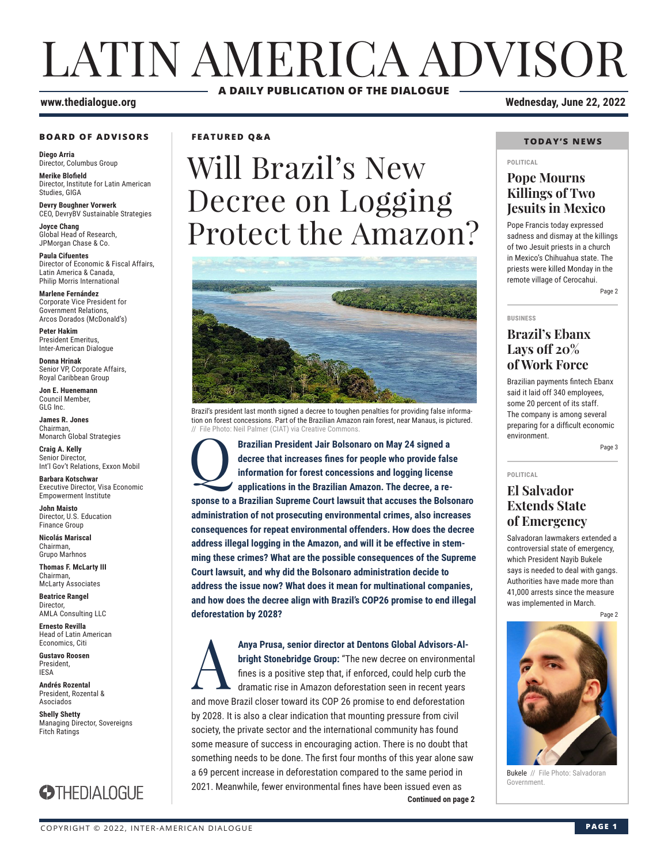# LATIN AMERICA ADVISOR **A DAILY PUBLICATION OF THE DIALOGUE**

#### **BOARD OF ADVISORS**

**Diego Arria** Director, Columbus Group **Merike Blofield**

Director, Institute for Latin American Studies, GIGA

**Devry Boughner Vorwerk** CEO, DevryBV Sustainable Strategies

**Joyce Chang** Global Head of Research, JPMorgan Chase & Co.

**Paula Cifuentes** Director of Economic & Fiscal Affairs, Latin America & Canada, Philip Morris International

**Marlene Fernández** Corporate Vice President for Government Relations, Arcos Dorados (McDonald's)

**Peter Hakim** President Emeritus, Inter-American Dialogue

**Donna Hrinak** Senior VP, Corporate Affairs, Royal Caribbean Group

**Jon E. Huenemann** Council Member, GLG Inc.

**James R. Jones** Chairman, Monarch Global Strategies

**Craig A. Kelly** Senior Director, Int'l Gov't Relations, Exxon Mobil

**Barbara Kotschwar** Executive Director, Visa Economic Empowerment Institute

**John Maisto** Director, U.S. Education Finance Group

**Nicolás Mariscal** Chairman, Grupo Marhnos

**Thomas F. McLarty III** Chairman, McLarty Associates

**Beatrice Rangel Director** AMLA Consulting LLC

**Ernesto Revilla**  Head of Latin American Economics, Citi

**Gustavo Roosen** President, IESA

**Andrés Rozental**  President, Rozental & Asociados

**Shelly Shetty** Managing Director, Sovereigns Fitch Ratings



**FEATURED Q&A**

# Will Brazil's New Decree on Logging Protect the Amazon?



Brazil's president last month signed a decree to toughen penalties for providing false information on forest concessions. Part of the Brazilian Amazon rain forest, near Manaus, is pictured. // File Photo: Neil Palmer (CIAT) via Creative Commons.

**Brazilian President Jair Bolsonaro on May 24 signed a**<br>decree that increases fines for people who provide fals<br>information for forest concessions and logging license<br>applications in the Brazilian Amazon. The decree, a re**decree that increases fines for people who provide false information for forest concessions and logging license applications in the Brazilian Amazon. The decree, a response to a Brazilian Supreme Court lawsuit that accuses the Bolsonaro administration of not prosecuting environmental crimes, also increases consequences for repeat environmental offenders. How does the decree address illegal logging in the Amazon, and will it be effective in stemming these crimes? What are the possible consequences of the Supreme Court lawsuit, and why did the Bolsonaro administration decide to address the issue now? What does it mean for multinational companies, and how does the decree align with Brazil's COP26 promise to end illegal deforestation by 2028?** 

**Continued on page 2** Anya Prusa, senior director at Dentons Global Advisors-Al-<br>bright Stonebridge Group: "The new decree on environment<br>fines is a positive step that, if enforced, could help curb the<br>dramatic rise in Amazon deforestation seen **bright Stonebridge Group:** "The new decree on environmental fines is a positive step that, if enforced, could help curb the dramatic rise in Amazon deforestation seen in recent years and move Brazil closer toward its COP 26 promise to end deforestation by 2028. It is also a clear indication that mounting pressure from civil society, the private sector and the international community has found some measure of success in encouraging action. There is no doubt that something needs to be done. The first four months of this year alone saw a 69 percent increase in deforestation compared to the same period in 2021. Meanwhile, fewer environmental fines have been issued even as

**www.thedialogue.org Wednesday, June 22, 2022**

#### **TODAY'S NEWS**

#### **POLITICAL**

### **Pope Mourns Killings of Two Jesuits in Mexico**

Pope Francis today expressed sadness and dismay at the killings of two Jesuit priests in a church in Mexico's Chihuahua state. The priests were killed Monday in the remote village of Cerocahui. Page 2

**BUSINESS**

### **Brazil's Ebanx Lays off 20% of Work Force**

Brazilian payments fintech Ebanx said it laid off 340 employees, some 20 percent of its staff. The company is among several preparing for a difficult economic environment.

Page 3

**POLITICAL**

### **El Salvador Extends State of Emergency**

Salvadoran lawmakers extended a controversial state of emergency, which President Nayib Bukele says is needed to deal with gangs. Authorities have made more than 41,000 arrests since the measure was implemented in March.

Page 2



Bukele // File Photo: Salvadoran Government.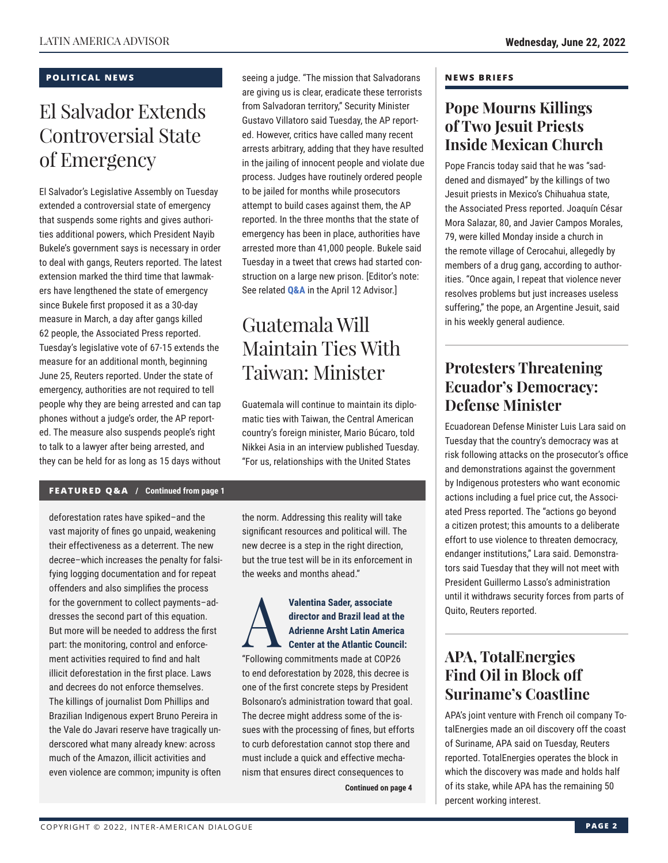#### **POLITICAL NEWS**

# El Salvador Extends Controversial State of Emergency

El Salvador's Legislative Assembly on Tuesday extended a controversial state of emergency that suspends some rights and gives authorities additional powers, which President Nayib Bukele's government says is necessary in order to deal with gangs, Reuters reported. The latest extension marked the third time that lawmakers have lengthened the state of emergency since Bukele first proposed it as a 30-day measure in March, a day after gangs killed 62 people, the Associated Press reported. Tuesday's legislative vote of 67-15 extends the measure for an additional month, beginning June 25, Reuters reported. Under the state of emergency, authorities are not required to tell people why they are being arrested and can tap phones without a judge's order, the AP reported. The measure also suspends people's right to talk to a lawyer after being arrested, and they can be held for as long as 15 days without seeing a judge. "The mission that Salvadorans are giving us is clear, eradicate these terrorists from Salvadoran territory," Security Minister Gustavo Villatoro said Tuesday, the AP reported. However, critics have called many recent arrests arbitrary, adding that they have resulted in the jailing of innocent people and violate due process. Judges have routinely ordered people to be jailed for months while prosecutors attempt to build cases against them, the AP reported. In the three months that the state of emergency has been in place, authorities have arrested more than 41,000 people. Bukele said Tuesday in a tweet that crews had started construction on a large new prison. [Editor's note: See related **[Q&A](https://www.thedialogue.org/wp-content/uploads/2022/04/LAA220412.pdf)** in the April 12 Advisor.]

# Guatemala Will Maintain Ties With Taiwan: Minister

Guatemala will continue to maintain its diplomatic ties with Taiwan, the Central American country's foreign minister, Mario Búcaro, told Nikkei Asia in an interview published Tuesday. "For us, relationships with the United States

#### **FEATURED Q&A / Continued from page 1**

deforestation rates have spiked–and the vast majority of fines go unpaid, weakening their effectiveness as a deterrent. The new decree–which increases the penalty for falsifying logging documentation and for repeat offenders and also simplifies the process for the government to collect payments–addresses the second part of this equation. But more will be needed to address the first part: the monitoring, control and enforcement activities required to find and halt illicit deforestation in the first place. Laws and decrees do not enforce themselves. The killings of journalist Dom Phillips and Brazilian Indigenous expert Bruno Pereira in the Vale do Javari reserve have tragically underscored what many already knew: across much of the Amazon, illicit activities and even violence are common; impunity is often

the norm. Addressing this reality will take significant resources and political will. The new decree is a step in the right direction, but the true test will be in its enforcement in the weeks and months ahead."

### Valentina Sader, associate<br>director and Brazil lead at t<br>Adrienne Arsht Latin Ameri<br>Center at the Atlantic Coun<br>"Following commitments made at COP3 **director and Brazil lead at the Adrienne Arsht Latin America Center at the Atlantic Council:**

"Following commitments made at COP26 to end deforestation by 2028, this decree is one of the first concrete steps by President Bolsonaro's administration toward that goal. The decree might address some of the issues with the processing of fines, but efforts to curb deforestation cannot stop there and must include a quick and effective mechanism that ensures direct consequences to

**Continued on page 4** 

#### **NEWS BRIEFS**

## **Pope Mourns Killings of Two Jesuit Priests Inside Mexican Church**

Pope Francis today said that he was "saddened and dismayed" by the killings of two Jesuit priests in Mexico's Chihuahua state, the Associated Press reported. Joaquín César Mora Salazar, 80, and Javier Campos Morales, 79, were killed Monday inside a church in the remote village of Cerocahui, allegedly by members of a drug gang, according to authorities. "Once again, I repeat that violence never resolves problems but just increases useless suffering," the pope, an Argentine Jesuit, said in his weekly general audience.

# **Protesters Threatening Ecuador's Democracy: Defense Minister**

Ecuadorean Defense Minister Luis Lara said on Tuesday that the country's democracy was at risk following attacks on the prosecutor's office and demonstrations against the government by Indigenous protesters who want economic actions including a fuel price cut, the Associated Press reported. The "actions go beyond a citizen protest; this amounts to a deliberate effort to use violence to threaten democracy, endanger institutions," Lara said. Demonstrators said Tuesday that they will not meet with President Guillermo Lasso's administration until it withdraws security forces from parts of Quito, Reuters reported.

# **APA, TotalEnergies Find Oil in Block off Suriname's Coastline**

APA's joint venture with French oil company TotalEnergies made an oil discovery off the coast of Suriname, APA said on Tuesday, Reuters reported. TotalEnergies operates the block in which the discovery was made and holds half of its stake, while APA has the remaining 50 percent working interest.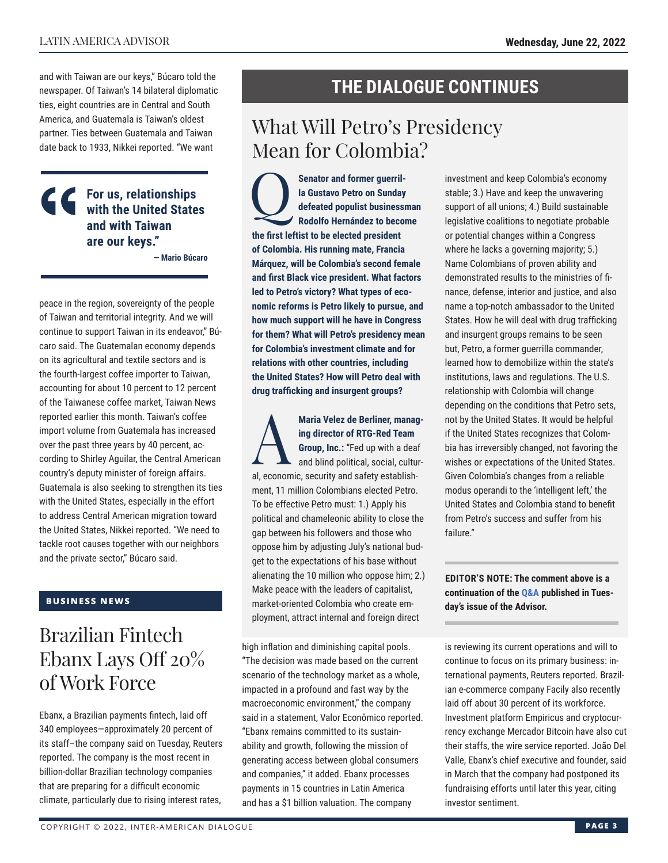and with Taiwan are our keys," Búcaro told the newspaper. Of Taiwan's 14 bilateral diplomatic ties, eight countries are in Central and South America, and Guatemala is Taiwan's oldest partner. Ties between Guatemala and Taiwan date back to 1933, Nikkei reported. "We want

### **For us, relationships with the United States and with Taiwan are our keys."**

**— Mario Búcaro**

peace in the region, sovereignty of the people of Taiwan and territorial integrity. And we will continue to support Taiwan in its endeavor," Búcaro said. The Guatemalan economy depends on its agricultural and textile sectors and is the fourth-largest coffee importer to Taiwan, accounting for about 10 percent to 12 percent of the Taiwanese coffee market, Taiwan News reported earlier this month. Taiwan's coffee import volume from Guatemala has increased over the past three years by 40 percent, according to Shirley Aguilar, the Central American country's deputy minister of foreign affairs. Guatemala is also seeking to strengthen its ties with the United States, especially in the effort to address Central American migration toward the United States, Nikkei reported. "We need to tackle root causes together with our neighbors and the private sector," Búcaro said.

### **BUSINESS NEWS**

# Brazilian Fintech Ebanx Lays Off 20% of Work Force

Ebanx, a Brazilian payments fintech, laid off 340 employees—approximately 20 percent of its staff–the company said on Tuesday, Reuters reported. The company is the most recent in billion-dollar Brazilian technology companies that are preparing for a difficult economic climate, particularly due to rising interest rates,

# **THE DIALOGUE CONTINUES**

# What Will Petro's Presidency Mean for Colombia?

**CO**<br> **Rodolfo Hernández to become**<br> **Rodolfo Hernández to become la Gustavo Petro on Sunday defeated populist businessman the first leftist to be elected president of Colombia. His running mate, Francia Márquez, will be Colombia's second female and first Black vice president. What factors led to Petro's victory? What types of economic reforms is Petro likely to pursue, and how much support will he have in Congress for them? What will Petro's presidency mean for Colombia's investment climate and for relations with other countries, including the United States? How will Petro deal with drug trafficking and insurgent groups?**

Maria Velez de Berliner, manag-<br>
ing director of RTG-Red Team<br>
Group, Inc.: "Fed up with a deaf<br>
and blind political, social, cultur**ing director of RTG-Red Team Group, Inc.:** "Fed up with a deaf and blind political, social, cultural, economic, security and safety establishment, 11 million Colombians elected Petro. To be effective Petro must: 1.) Apply his political and chameleonic ability to close the gap between his followers and those who oppose him by adjusting July's national budget to the expectations of his base without alienating the 10 million who oppose him; 2.) Make peace with the leaders of capitalist, market-oriented Colombia who create employment, attract internal and foreign direct

high inflation and diminishing capital pools. "The decision was made based on the current scenario of the technology market as a whole, impacted in a profound and fast way by the macroeconomic environment," the company said in a statement, Valor Econômico reported. "Ebanx remains committed to its sustainability and growth, following the mission of generating access between global consumers and companies," it added. Ebanx processes payments in 15 countries in Latin America and has a \$1 billion valuation. The company

investment and keep Colombia's economy stable; 3.) Have and keep the unwavering support of all unions; 4.) Build sustainable legislative coalitions to negotiate probable or potential changes within a Congress where he lacks a governing majority; 5.) Name Colombians of proven ability and demonstrated results to the ministries of finance, defense, interior and justice, and also name a top-notch ambassador to the United States. How he will deal with drug trafficking and insurgent groups remains to be seen but, Petro, a former guerrilla commander, learned how to demobilize within the state's institutions, laws and regulations. The U.S. relationship with Colombia will change depending on the conditions that Petro sets, not by the United States. It would be helpful if the United States recognizes that Colombia has irreversibly changed, not favoring the wishes or expectations of the United States. Given Colombia's changes from a reliable modus operandi to the 'intelligent left,' the United States and Colombia stand to benefit from Petro's success and suffer from his failure."

**EDITOR'S NOTE: The comment above is a continuation of the [Q&A](https://www.thedialogue.org/wp-content/uploads/2022/06/LAA220621.pdf) published in Tuesday's issue of the Advisor.**

is reviewing its current operations and will to continue to focus on its primary business: international payments, Reuters reported. Brazilian e-commerce company Facily also recently laid off about 30 percent of its workforce. Investment platform Empiricus and cryptocurrency exchange Mercador Bitcoin have also cut their staffs, the wire service reported. João Del Valle, Ebanx's chief executive and founder, said in March that the company had postponed its fundraising efforts until later this year, citing investor sentiment.